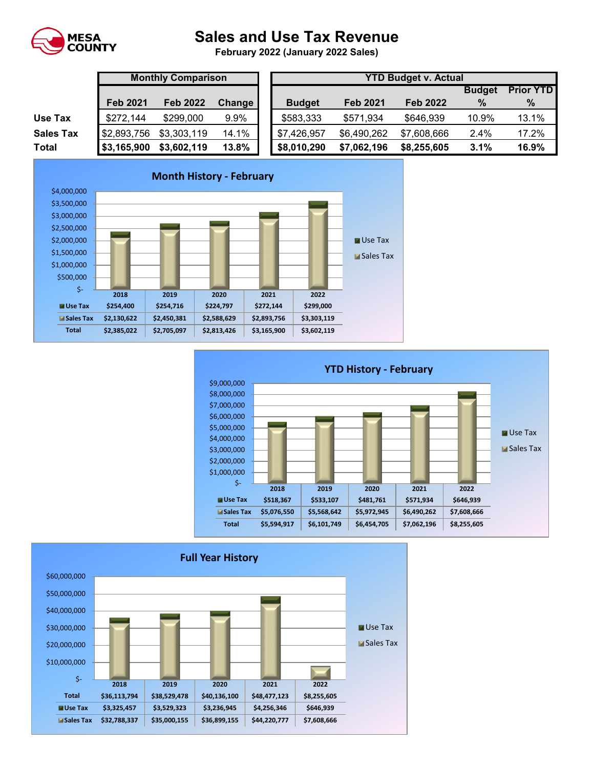

## **Sales and Use Tax Revenue**

**February 2022 (January 2022 Sales)** 

|                  | <b>Monthly Comparison</b> |                 |               |  | <b>YTD Budget v. Actual</b> |                 |                 |               |                  |  |  |  |  |
|------------------|---------------------------|-----------------|---------------|--|-----------------------------|-----------------|-----------------|---------------|------------------|--|--|--|--|
|                  |                           |                 |               |  |                             |                 |                 | <b>Budget</b> | <b>Prior YTD</b> |  |  |  |  |
|                  | <b>Feb 2021</b>           | <b>Feb 2022</b> | <b>Change</b> |  | <b>Budget</b>               | <b>Feb 2021</b> | <b>Feb 2022</b> | $\%$          | %                |  |  |  |  |
| Use Tax          | \$272,144                 | \$299,000       | 9.9%          |  | \$583,333                   | \$571,934       | \$646,939       | 10.9%         | 13.1%            |  |  |  |  |
| <b>Sales Tax</b> | \$2,893,756               | \$3,303,119     | 14.1%         |  | \$7,426,957                 | \$6,490,262     | \$7,608,666     | 2.4%          | 17.2%            |  |  |  |  |
| Total            | \$3,165,900               | \$3,602,119     | 13.8%         |  | \$8,010,290                 | \$7,062,196     | \$8,255,605     | 3.1%          | 16.9%            |  |  |  |  |





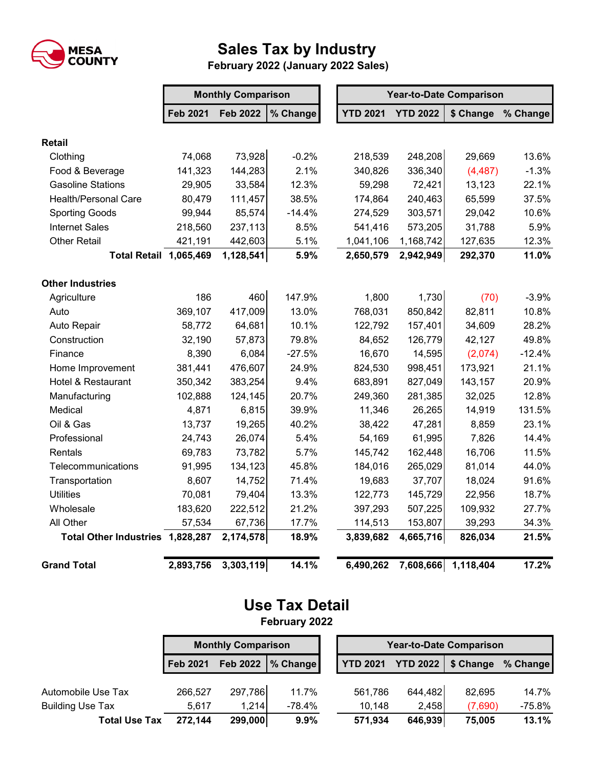

## **Sales Tax by Industry**

 **February 2022 (January 2022 Sales)**

|                                  | <b>Monthly Comparison</b> |                 |          |  | <b>Year-to-Date Comparison</b> |                 |                     |          |  |  |
|----------------------------------|---------------------------|-----------------|----------|--|--------------------------------|-----------------|---------------------|----------|--|--|
|                                  | <b>Feb 2021</b>           | <b>Feb 2022</b> | % Change |  | <b>YTD 2021</b>                | <b>YTD 2022</b> | \$ Change           | % Change |  |  |
| <b>Retail</b>                    |                           |                 |          |  |                                |                 |                     |          |  |  |
| Clothing                         | 74,068                    | 73,928          | $-0.2%$  |  | 218,539                        | 248,208         | 29,669              | 13.6%    |  |  |
| Food & Beverage                  | 141,323                   | 144,283         | 2.1%     |  | 340,826                        | 336,340         | (4, 487)            | $-1.3%$  |  |  |
| <b>Gasoline Stations</b>         | 29,905                    | 33,584          | 12.3%    |  | 59,298                         | 72,421          | 13,123              | 22.1%    |  |  |
| <b>Health/Personal Care</b>      | 80,479                    | 111,457         | 38.5%    |  | 174,864                        | 240,463         | 65,599              | 37.5%    |  |  |
| <b>Sporting Goods</b>            | 99,944                    | 85,574          | $-14.4%$ |  | 274,529                        | 303,571         | 29,042              | 10.6%    |  |  |
| <b>Internet Sales</b>            | 218,560                   | 237,113         | 8.5%     |  | 541,416                        | 573,205         | 31,788              | 5.9%     |  |  |
| <b>Other Retail</b>              | 421,191                   | 442,603         | 5.1%     |  | 1,041,106                      | 1,168,742       | 127,635             | 12.3%    |  |  |
| <b>Total Retail 1,065,469</b>    |                           | 1,128,541       | 5.9%     |  | 2,650,579                      | 2,942,949       | 292,370             | 11.0%    |  |  |
| <b>Other Industries</b>          |                           |                 |          |  |                                |                 |                     |          |  |  |
| Agriculture                      | 186                       | 460             | 147.9%   |  | 1,800                          | 1,730           | (70)                | $-3.9%$  |  |  |
| Auto                             | 369,107                   | 417,009         | 13.0%    |  | 768,031                        | 850,842         | 82,811              | 10.8%    |  |  |
| Auto Repair                      | 58,772                    | 64,681          | 10.1%    |  | 122,792                        | 157,401         | 34,609              | 28.2%    |  |  |
| Construction                     | 32,190                    | 57,873          | 79.8%    |  | 84,652                         | 126,779         | 42,127              | 49.8%    |  |  |
| Finance                          | 8,390                     | 6,084           | $-27.5%$ |  | 16,670                         | 14,595          | (2,074)             | $-12.4%$ |  |  |
| Home Improvement                 | 381,441                   | 476,607         | 24.9%    |  | 824,530                        | 998,451         | 173,921             | 21.1%    |  |  |
| Hotel & Restaurant               | 350,342                   | 383,254         | 9.4%     |  | 683,891                        | 827,049         | 143,157             | 20.9%    |  |  |
| Manufacturing                    | 102,888                   | 124,145         | 20.7%    |  | 249,360                        | 281,385         | 32,025              | 12.8%    |  |  |
| Medical                          | 4,871                     | 6,815           | 39.9%    |  | 11,346                         | 26,265          | 14,919              | 131.5%   |  |  |
| Oil & Gas                        | 13,737                    | 19,265          | 40.2%    |  | 38,422                         | 47,281          | 8,859               | 23.1%    |  |  |
| Professional                     | 24,743                    | 26,074          | 5.4%     |  | 54,169                         | 61,995          | 7,826               | 14.4%    |  |  |
| Rentals                          | 69,783                    | 73,782          | 5.7%     |  | 145,742                        | 162,448         | 16,706              | 11.5%    |  |  |
| Telecommunications               | 91,995                    | 134,123         | 45.8%    |  | 184,016                        | 265,029         | 81,014              | 44.0%    |  |  |
| Transportation                   | 8,607                     | 14,752          | 71.4%    |  | 19,683                         | 37,707          | 18,024              | 91.6%    |  |  |
| <b>Utilities</b>                 | 70,081                    | 79,404          | 13.3%    |  | 122,773                        | 145,729         | 22,956              | 18.7%    |  |  |
| Wholesale                        | 183,620                   | 222,512         | 21.2%    |  | 397,293                        | 507,225         | 109,932             | 27.7%    |  |  |
| All Other                        | 57,534                    | 67,736          | 17.7%    |  | 114,513                        | 153,807         | 39,293              | 34.3%    |  |  |
| Total Other Industries 1,828,287 |                           | 2,174,578       | 18.9%    |  | 3,839,682                      | 4,665,716       | 826,034             | 21.5%    |  |  |
| <b>Grand Total</b>               | 2,893,756                 | 3,303,119       | 14.1%    |  | 6,490,262                      |                 | 7,608,666 1,118,404 | 17.2%    |  |  |

## **Use Tax Detail February 2022**

|                         | <b>Monthly Comparison</b> |          |          |  | <b>Year-to-Date Comparison</b> |                 |           |          |  |
|-------------------------|---------------------------|----------|----------|--|--------------------------------|-----------------|-----------|----------|--|
|                         | Feb 2021                  | Feb 2022 | % Change |  | <b>YTD 2021</b>                | <b>YTD 2022</b> | \$ Change | % Change |  |
| Automobile Use Tax      | 266,527                   | 297,786  | 11.7%    |  | 561,786                        | 644,482         | 82,695    | 14.7%    |  |
| <b>Building Use Tax</b> | 5.617                     | 1,214    | -78.4%   |  | 10,148                         | 2,458           | (7,690)   | -75.8%   |  |
| <b>Total Use Tax</b>    | 272.144                   | 299,000  | $9.9\%$  |  | 571,934                        | 646,939         | 75,005    | 13.1%    |  |